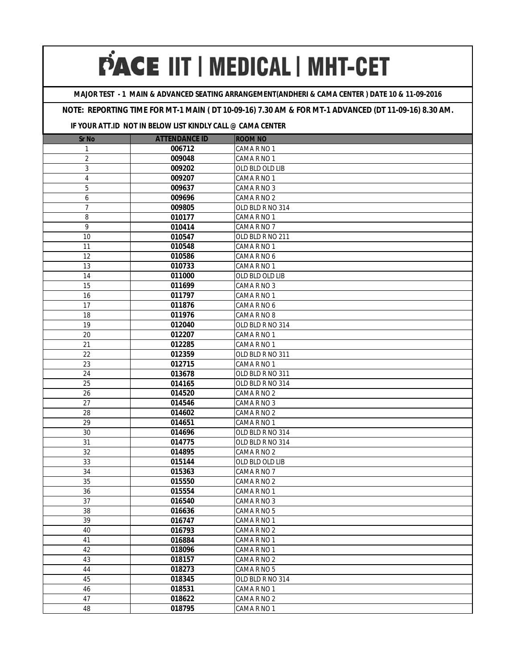**MAJOR TEST - 1 MAIN & ADVANCED SEATING ARRANGEMENT(ANDHERI & CAMA CENTER ) DATE 10 & 11-09-2016**

### **NOTE: REPORTING TIME FOR MT-1 MAIN ( DT 10-09-16) 7.30 AM & FOR MT-1 ADVANCED (DT 11-09-16) 8.30 AM.**

| <b>Sr No</b>    | <b>ATTENDANCE ID</b> | <b>ROOM NO</b>             |
|-----------------|----------------------|----------------------------|
| 1               | 006712               | CAMA R NO 1                |
| $\overline{2}$  | 009048               | CAMA R NO 1                |
| 3               | 009202               | OLD BLD OLD LIB            |
| 4               | 009207               | CAMA R NO 1                |
| 5               | 009637               | CAMA R NO 3                |
| 6               | 009696               | CAMA R NO 2                |
| $\overline{7}$  | 009805               | OLD BLD R NO 314           |
| 8               | 010177               | CAMA R NO 1                |
| 9               | 010414               | CAMA R NO 7                |
| 10              | 010547               | OLD BLD R NO 211           |
| 11              | 010548               | CAMA R NO 1                |
| 12              | 010586               | CAMA R NO 6                |
| 13              | 010733               | CAMA R NO 1                |
| 14              | 011000               | OLD BLD OLD LIB            |
| 15              | 011699               | CAMA R NO 3                |
| 16              | 011797               | CAMA R NO 1                |
| 17              | 011876               | CAMA R NO 6                |
| 18              | 011976               | CAMA R NO 8                |
| 19              | 012040               | OLD BLD R NO 314           |
| 20              | 012207               | CAMA R NO 1                |
| 21              | 012285               | CAMA R NO 1                |
| 22              | 012359               | OLD BLD R NO 311           |
| 23              | 012715               | CAMA R NO 1                |
| 24              | 013678               | OLD BLD R NO 311           |
| 25              | 014165               | OLD BLD R NO 314           |
| 26              | 014520               | CAMA R NO 2                |
| 27              | 014546               | CAMA R NO 3                |
| 28              | 014602               | CAMA R NO 2                |
| 29              | 014651               | CAMA R NO 1                |
| 30              | 014696               | OLD BLD R NO 314           |
| 31              | 014775               | OLD BLD R NO 314           |
| $\overline{32}$ | 014895               | CAMA R NO 2                |
| 33<br>34        | 015144<br>015363     | OLD BLD OLD LIB            |
| 35              | 015550               | CAMA R NO 7                |
| 36              | 015554               | CAMA R NO 2                |
| 37              | 016540               | CAMA R NO 1<br>CAMA R NO 3 |
| 38              | 016636               | CAMA R NO 5                |
| 39              | 016747               | CAMA R NO 1                |
| 40              | 016793               | CAMA R NO 2                |
| 41              | 016884               | CAMA R NO 1                |
| 42              | 018096               | CAMA R NO 1                |
| 43              | 018157               | CAMA R NO 2                |
| 44              | 018273               | CAMA R NO 5                |
| 45              | 018345               | OLD BLD R NO 314           |
| 46              | 018531               | CAMA R NO 1                |
| 47              | 018622               | CAMA R NO 2                |
| 48              | 018795               | CAMA R NO 1                |
|                 |                      |                            |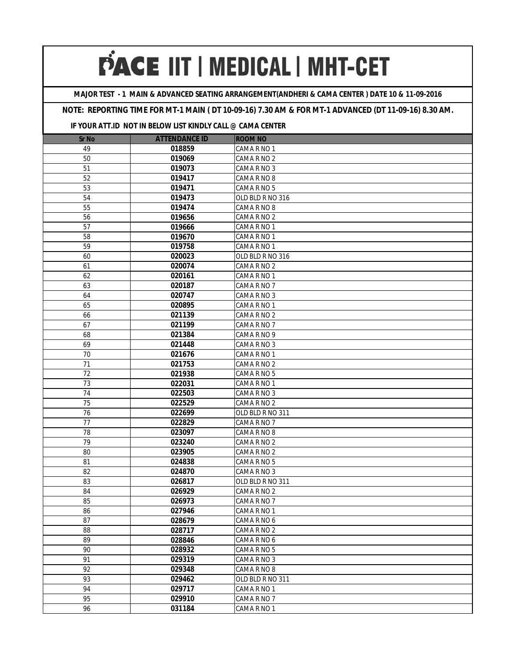**MAJOR TEST - 1 MAIN & ADVANCED SEATING ARRANGEMENT(ANDHERI & CAMA CENTER ) DATE 10 & 11-09-2016**

### **NOTE: REPORTING TIME FOR MT-1 MAIN ( DT 10-09-16) 7.30 AM & FOR MT-1 ADVANCED (DT 11-09-16) 8.30 AM.**

| <b>Sr No</b>    | <b>ATTENDANCE ID</b> | <b>ROOM NO</b>   |
|-----------------|----------------------|------------------|
| 49              | 018859               | CAMA R NO 1      |
| 50              | 019069               | CAMA R NO 2      |
| 51              | 019073               | CAMA R NO 3      |
| 52              | 019417               | CAMA R NO 8      |
| 53              | 019471               | CAMA R NO 5      |
| 54              | 019473               | OLD BLD R NO 316 |
| 55              | 019474               | CAMA R NO 8      |
| 56              | 019656               | CAMA R NO 2      |
| 57              | 019666               | CAMA R NO 1      |
| 58              | 019670               | CAMA R NO 1      |
| 59              | 019758               | CAMA R NO 1      |
| 60              | 020023               | OLD BLD R NO 316 |
| 61              | 020074               | CAMA R NO 2      |
| 62              | 020161               | CAMA R NO 1      |
| 63              | 020187               | CAMA R NO 7      |
| 64              | 020747               | CAMA R NO 3      |
| 65              | 020895               | CAMA R NO 1      |
| 66              | 021139               | CAMA R NO 2      |
| 67              | 021199               | CAMA R NO 7      |
| 68              | 021384               | CAMA R NO 9      |
| 69              | 021448               | CAMA R NO 3      |
| 70              | 021676               | CAMA R NO 1      |
| 71              | 021753               | CAMA R NO 2      |
| 72              | 021938               | CAMA R NO 5      |
| 73              | 022031               | CAMA R NO 1      |
| 74              | 022503               | CAMA R NO 3      |
| 75              | 022529               | CAMA R NO 2      |
| 76              | 022699               | OLD BLD R NO 311 |
| 77              | 022829               | CAMA R NO 7      |
| 78              | 023097               | CAMA R NO 8      |
| $\overline{79}$ | 023240               | CAMA R NO 2      |
| 80              | 023905               | CAMA R NO 2      |
| 81              | 024838               | CAMA R NO 5      |
| 82              | 024870               | CAMA R NO 3      |
| 83              | 026817               | OLD BLD R NO 311 |
| 84              | 026929               | CAMA R NO 2      |
| 85              | 026973               | CAMA R NO 7      |
| 86              | 027946               | CAMA R NO 1      |
| 87              | 028679               | CAMA R NO 6      |
| 88              | 028717               | CAMA R NO 2      |
| 89              | 028846               | CAMA R NO 6      |
| 90<br>91        | 028932<br>029319     | CAMA R NO 5      |
| 92              | 029348               | CAMA R NO 3      |
| 93              |                      | CAMA R NO 8      |
|                 | 029462               | OLD BLD R NO 311 |
| 94<br>95        | 029717               | CAMA R NO 1      |
|                 | 029910               | CAMA R NO 7      |
| 96              | 031184               | CAMA R NO 1      |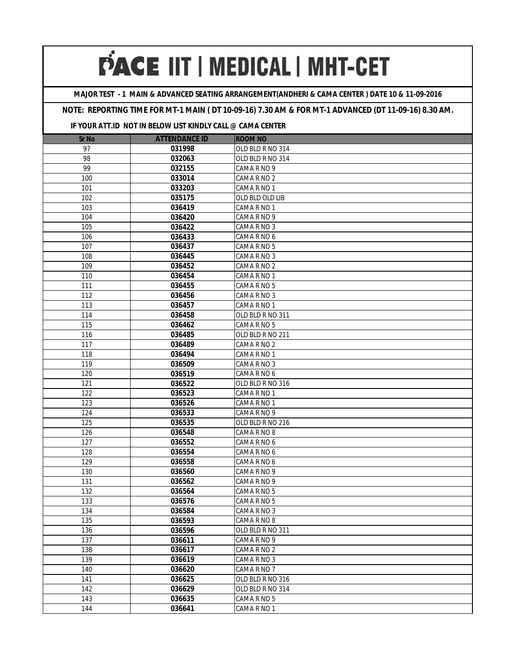**MAJOR TEST - 1 MAIN & ADVANCED SEATING ARRANGEMENT(ANDHERI & CAMA CENTER ) DATE 10 & 11-09-2016**

## **NOTE: REPORTING TIME FOR MT-1 MAIN ( DT 10-09-16) 7.30 AM & FOR MT-1 ADVANCED (DT 11-09-16) 8.30 AM.**

| <b>Sr No</b> | <b>ATTENDANCE ID</b> | <b>ROOM NO</b>   |
|--------------|----------------------|------------------|
| 97           | 031998               | OLD BLD R NO 314 |
| 98           | 032063               | OLD BLD R NO 314 |
| 99           | 032155               | CAMA R NO 9      |
| 100          | 033014               | CAMA R NO 2      |
| 101          | 033203               | CAMA R NO 1      |
| 102          | 035175               | OLD BLD OLD LIB  |
| 103          | 036419               | CAMA R NO 1      |
| 104          | 036420               | CAMA R NO 9      |
| 105          | 036422               | CAMA R NO 3      |
| 106          | 036433               | CAMA R NO 6      |
| 107          | 036437               | CAMA R NO 5      |
| 108          | 036445               | CAMA R NO 3      |
| 109          | 036452               | CAMA R NO 2      |
| 110          | 036454               | CAMA R NO 1      |
| 111          | 036455               | CAMA R NO 5      |
| 112          | 036456               | CAMA R NO 3      |
| 113          | 036457               | CAMA R NO 1      |
| 114          | 036458               | OLD BLD R NO 311 |
| 115          | 036462               | CAMA R NO 5      |
| 116          | 036485               | OLD BLD R NO 211 |
| 117          | 036489               | CAMA R NO 2      |
| 118          | 036494               | CAMA R NO 1      |
| 119          | 036509               | CAMA R NO 3      |
| 120          | 036519               | CAMA R NO 6      |
| 121          | 036522               | OLD BLD R NO 316 |
| 122          | 036523               | CAMA R NO 1      |
| 123          | 036526               | CAMA R NO 1      |
| 124          | 036533               | CAMA R NO 9      |
| 125          | 036535               | OLD BLD R NO 216 |
| 126          | 036548               | CAMA R NO 8      |
| 127          | 036552               | CAMA R NO 6      |
| 128          | 036554               | CAMA R NO 6      |
| 129          | 036558               | CAMA R NO 6      |
| 130          | 036560               | CAMA R NO 9      |
| 131          | 036562               | CAMA R NO 9      |
| 132          | 036564               | CAMA R NO 5      |
| 133          | 036576               | CAMA R NO 5      |
| 134          | 036584               | CAMA R NO 3      |
| 135          | 036593               | CAMA R NO 8      |
| 136          | 036596               | OLD BLD R NO 311 |
| 137          | 036611               | CAMA R NO 9      |
| 138          | 036617               | CAMA R NO 2      |
| 139          | 036619               | CAMA R NO 3      |
| 140          | 036620               | CAMA R NO 7      |
| 141          | 036625               | OLD BLD R NO 316 |
| 142          | 036629               | OLD BLD R NO 314 |
| 143          | 036635               | CAMA R NO 5      |
| 144          | 036641               | CAMA R NO 1      |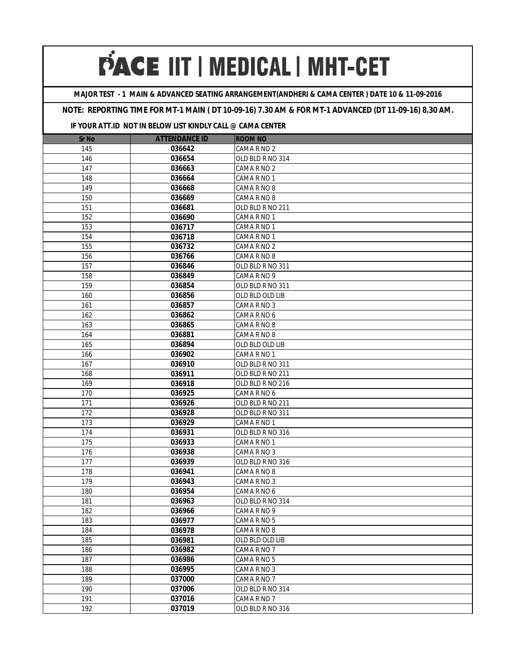**MAJOR TEST - 1 MAIN & ADVANCED SEATING ARRANGEMENT(ANDHERI & CAMA CENTER ) DATE 10 & 11-09-2016**

### **NOTE: REPORTING TIME FOR MT-1 MAIN ( DT 10-09-16) 7.30 AM & FOR MT-1 ADVANCED (DT 11-09-16) 8.30 AM.**

| <b>Sr No</b> | <b>ATTENDANCE ID</b> | <b>ROOM NO</b>   |
|--------------|----------------------|------------------|
| 145          | 036642               | CAMA R NO 2      |
| 146          | 036654               | OLD BLD R NO 314 |
| 147          | 036663               | CAMA R NO 2      |
| 148          | 036664               | CAMA R NO 1      |
| 149          | 036668               | CAMA R NO 8      |
| 150          | 036669               | CAMA R NO 8      |
| 151          | 036681               | OLD BLD R NO 211 |
| 152          | 036690               | CAMA R NO 1      |
| 153          | 036717               | CAMA R NO 1      |
| 154          | 036718               | CAMA R NO 1      |
| 155          | 036732               | CAMA R NO 2      |
| 156          | 036766               | CAMA R NO 8      |
| 157          | 036846               | OLD BLD R NO 311 |
| 158          | 036849               | CAMA R NO 9      |
| 159          | 036854               | OLD BLD R NO 311 |
| 160          | 036856               | OLD BLD OLD LIB  |
| 161          | 036857               | CAMA R NO 3      |
| 162          | 036862               | CAMA R NO 6      |
| 163          | 036865               | CAMA R NO 8      |
| 164          | 036881               | CAMA R NO 8      |
| 165          | 036894               | OLD BLD OLD LIB  |
| 166          | 036902               | CAMA R NO 1      |
| 167          | 036910               | OLD BLD R NO 311 |
| 168          | 036911               | OLD BLD R NO 211 |
| 169          | 036918               | OLD BLD R NO 216 |
| 170          | 036925               | CAMA R NO 6      |
| 171          | 036926               | OLD BLD R NO 211 |
| 172          | 036928               | OLD BLD R NO 311 |
| 173          | 036929               | CAMA R NO 1      |
| 174          | 036931               | OLD BLD R NO 316 |
| 175          | 036933               | CAMA R NO 1      |
| 176          | 036938               | CAMA R NO 3      |
| 177          | 036939               | OLD BLD R NO 316 |
| 178          | 036941               | CAMA R NO 8      |
| 179          | 036943               | CAMA R NO 3      |
| 180          | 036954               | CAMA R NO 6      |
| 181          | 036963               | OLD BLD R NO 314 |
| 182          | 036966               | CAMA R NO 9      |
| 183          | 036977               | CAMA R NO 5      |
| 184          | 036978               | CAMA R NO 8      |
| 185          | 036981               | OLD BLD OLD LIB  |
| 186          | 036982               | CAMA R NO 7      |
| 187          | 036986               | CAMA R NO 5      |
| 188          | 036995               | CAMA R NO 3      |
| 189          | 037000               | CAMA R NO 7      |
| 190          | 037006               | OLD BLD R NO 314 |
| 191          | 037016               | CAMA R NO 7      |
| 192          | 037019               | OLD BLD R NO 316 |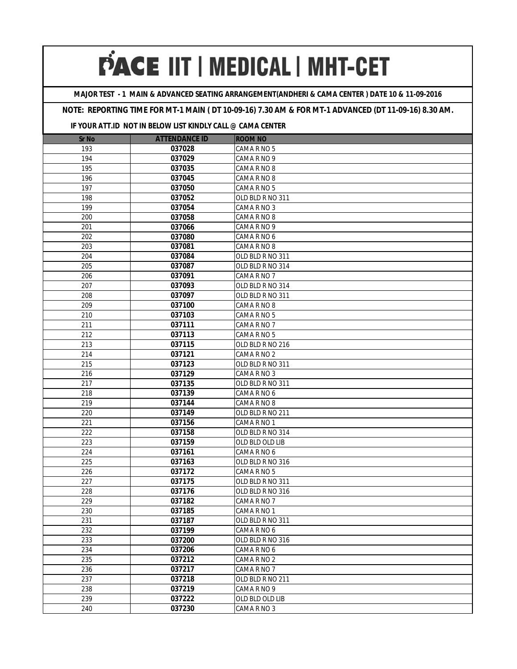**MAJOR TEST - 1 MAIN & ADVANCED SEATING ARRANGEMENT(ANDHERI & CAMA CENTER ) DATE 10 & 11-09-2016**

## **NOTE: REPORTING TIME FOR MT-1 MAIN ( DT 10-09-16) 7.30 AM & FOR MT-1 ADVANCED (DT 11-09-16) 8.30 AM.**

| <b>Sr No</b> | <b>ATTENDANCE ID</b> | <b>ROOM NO</b>                  |
|--------------|----------------------|---------------------------------|
| 193          | 037028               | CAMA R NO 5                     |
| 194          | 037029               | CAMA R NO 9                     |
| 195          | 037035               | CAMA R NO 8                     |
| 196          | 037045               | CAMA R NO 8                     |
| 197          | 037050               | CAMA R NO 5                     |
| 198          | 037052               | OLD BLD R NO 311                |
| 199          | 037054               | CAMA R NO 3                     |
| 200          | 037058               | CAMA R NO 8                     |
| 201          | 037066               | CAMA R NO 9                     |
| 202          | 037080               | CAMA R NO 6                     |
| 203          | 037081               | CAMA R NO 8                     |
| 204          | 037084               | OLD BLD R NO 311                |
| 205          | 037087               | OLD BLD R NO 314                |
| 206          | 037091               | CAMA R NO 7                     |
| 207          | 037093               | OLD BLD R NO 314                |
| 208          | 037097               | OLD BLD R NO 311                |
| 209          | 037100               | CAMA R NO 8                     |
| 210          | 037103               | CAMA R NO 5                     |
| 211          | 037111               | CAMA R NO 7                     |
| 212          | 037113               | CAMA R NO 5                     |
| 213          | 037115               | OLD BLD R NO 216                |
| 214          | 037121               | CAMA R NO 2                     |
| 215          | 037123               | OLD BLD R NO 311                |
| 216          | 037129               | CAMA R NO 3                     |
| 217          | 037135               | OLD BLD R NO 311                |
| 218          | 037139               | CAMA R NO 6                     |
| 219          | 037144               | CAMA R NO 8                     |
| 220          | 037149               | OLD BLD R NO 211                |
| 221          | 037156               | CAMA R NO 1                     |
| 222          | 037158               | OLD BLD R NO 314                |
| 223          | 037159               | OLD BLD OLD LIB                 |
| 224          | 037161               | CAMA R NO 6                     |
| 225          | 037163               | OLD BLD R NO 316                |
| 226          | 037172               | CAMA R NO 5                     |
| 227<br>228   | 037175<br>037176     | OLD BLD R NO 311                |
|              | 037182               | OLD BLD R NO 316                |
| 229<br>230   | 037185               | CAMA R NO 7<br>CAMA R NO 1      |
|              |                      |                                 |
| 231<br>232   | 037187<br>037199     | OLD BLD R NO 311<br>CAMA R NO 6 |
| 233          | 037200               | OLD BLD R NO 316                |
| 234          | 037206               | CAMA R NO 6                     |
| 235          | 037212               | CAMA R NO 2                     |
| 236          | 037217               | CAMA R NO 7                     |
| 237          | 037218               | OLD BLD R NO 211                |
| 238          | 037219               | CAMA R NO 9                     |
| 239          | 037222               | OLD BLD OLD LIB                 |
| 240          | 037230               | CAMA R NO 3                     |
|              |                      |                                 |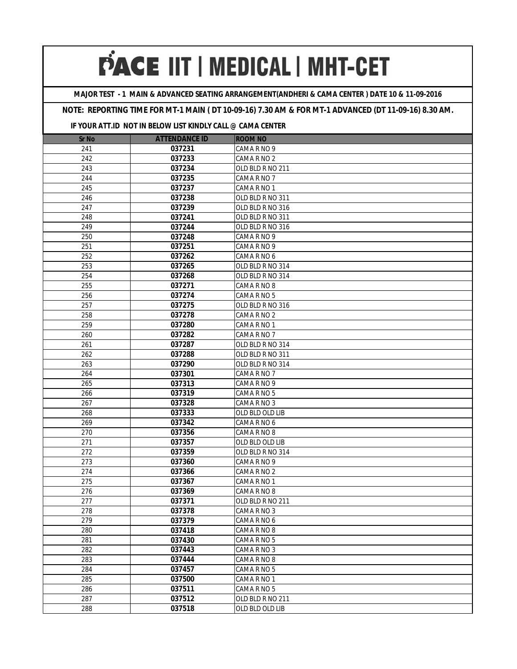**MAJOR TEST - 1 MAIN & ADVANCED SEATING ARRANGEMENT(ANDHERI & CAMA CENTER ) DATE 10 & 11-09-2016**

### **NOTE: REPORTING TIME FOR MT-1 MAIN ( DT 10-09-16) 7.30 AM & FOR MT-1 ADVANCED (DT 11-09-16) 8.30 AM.**

| <b>Sr No</b> | <b>ATTENDANCE ID</b> | <b>ROOM NO</b>             |
|--------------|----------------------|----------------------------|
| 241          | 037231               | CAMA R NO 9                |
| 242          | 037233               | CAMA R NO 2                |
| 243          | 037234               | OLD BLD R NO 211           |
| 244          | 037235               | CAMA R NO 7                |
| 245          | 037237               | CAMA R NO 1                |
| 246          | 037238               | OLD BLD R NO 311           |
| 247          | 037239               | OLD BLD R NO 316           |
| 248          | 037241               | OLD BLD R NO 311           |
| 249          | 037244               | OLD BLD R NO 316           |
| 250          | 037248               | CAMA R NO 9                |
| 251          | 037251               | CAMA R NO 9                |
| 252          | 037262               | CAMA R NO 6                |
| 253          | 037265               | OLD BLD R NO 314           |
| 254          | 037268               | OLD BLD R NO 314           |
| 255          | 037271               | CAMA R NO 8                |
| 256          | 037274               | CAMA R NO 5                |
| 257          | 037275               | OLD BLD R NO 316           |
| 258          | 037278               | CAMA R NO 2                |
| 259          | 037280               | CAMA R NO 1                |
| 260          | 037282               | CAMA R NO 7                |
| 261          | 037287               | OLD BLD R NO 314           |
| 262          | 037288               | OLD BLD R NO 311           |
| 263          | 037290               | OLD BLD R NO 314           |
| 264          | 037301               | CAMA R NO 7                |
| 265          | 037313               | CAMA R NO 9                |
| 266          | 037319               | CAMA R NO 5                |
| 267          | 037328               | CAMA R NO 3                |
| 268          | 037333               | OLD BLD OLD LIB            |
| 269          | 037342               | CAMA R NO 6                |
| 270          | 037356               | CAMA R NO 8                |
| 271          | 037357               | OLD BLD OLD LIB            |
| 272          | 037359<br>037360     | OLD BLD R NO 314           |
| 273<br>274   | 037366               | CAMA R NO 9<br>CAMA R NO 2 |
| 275          | 037367               | CAMA R NO 1                |
| 276          | 037369               | CAMA R NO 8                |
| 277          | 037371               | OLD BLD R NO 211           |
| 278          | 037378               | CAMA R NO 3                |
| 279          | 037379               | CAMA R NO 6                |
| 280          | 037418               | CAMA R NO 8                |
| 281          | 037430               | CAMA R NO 5                |
| 282          | 037443               | CAMA R NO 3                |
| 283          | 037444               | CAMA R NO 8                |
| 284          | 037457               | CAMA R NO 5                |
| 285          | 037500               | CAMA R NO 1                |
| 286          | 037511               | CAMA R NO 5                |
| 287          | 037512               | OLD BLD R NO 211           |
| 288          | 037518               | OLD BLD OLD LIB            |
|              |                      |                            |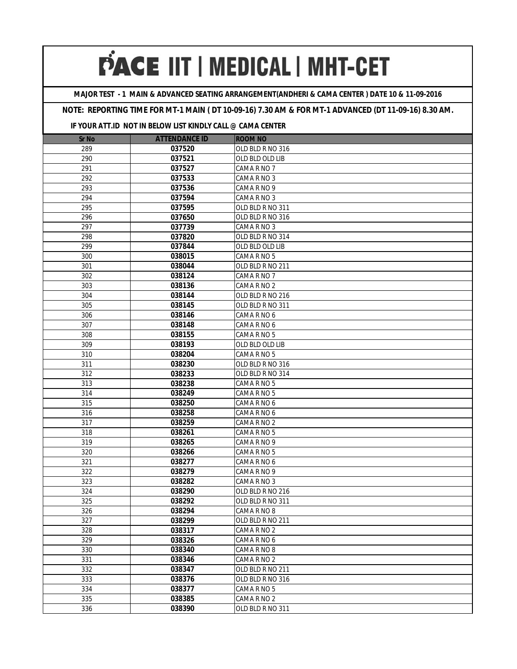**MAJOR TEST - 1 MAIN & ADVANCED SEATING ARRANGEMENT(ANDHERI & CAMA CENTER ) DATE 10 & 11-09-2016**

### **NOTE: REPORTING TIME FOR MT-1 MAIN ( DT 10-09-16) 7.30 AM & FOR MT-1 ADVANCED (DT 11-09-16) 8.30 AM.**

| <b>Sr No</b> | <b>ATTENDANCE ID</b> | <b>ROOM NO</b>             |
|--------------|----------------------|----------------------------|
| 289          | 037520               | OLD BLD R NO 316           |
| 290          | 037521               | OLD BLD OLD LIB            |
| 291          | 037527               | CAMA R NO 7                |
| 292          | 037533               | CAMA R NO 3                |
| 293          | 037536               | CAMA R NO 9                |
| 294          | 037594               | CAMA R NO 3                |
| 295          | 037595               | OLD BLD R NO 311           |
| 296          | 037650               | OLD BLD R NO 316           |
| 297          | 037739               | CAMA R NO 3                |
| 298          | 037820               | OLD BLD R NO 314           |
| 299          | 037844               | OLD BLD OLD LIB            |
| 300          | 038015               | CAMA R NO 5                |
| 301          | 038044               | OLD BLD R NO 211           |
| 302          | 038124               | CAMA R NO 7                |
| 303          | 038136               | CAMA R NO 2                |
| 304          | 038144               | OLD BLD R NO 216           |
| 305          | 038145               | OLD BLD R NO 311           |
| 306          | 038146               | CAMA R NO 6                |
| 307          | 038148               | CAMA R NO 6                |
| 308          | 038155               | CAMA R NO 5                |
| 309          | 038193               | OLD BLD OLD LIB            |
| 310          | 038204               | CAMA R NO 5                |
| 311          | 038230               | OLD BLD R NO 316           |
| 312          | 038233               | OLD BLD R NO 314           |
| 313          | 038238               | CAMA R NO 5                |
| 314          | 038249               | CAMA R NO 5                |
| 315          | 038250               | CAMA R NO 6                |
| 316          | 038258               | CAMA R NO 6                |
| 317          | 038259               | CAMA R NO 2                |
| 318          | 038261               | CAMA R NO 5                |
| 319          | 038265               | CAMA R NO 9                |
| 320          | 038266               | CAMA R NO 5                |
| 321          | 038277               | CAMA R NO 6                |
| 322          | 038279               | CAMA R NO 9                |
| 323          | 038282               | CAMA R NO 3                |
| 324          | 038290               | OLD BLD R NO 216           |
| 325          | 038292               | OLD BLD R NO 311           |
| 326          | 038294               | CAMA R NO 8                |
| 327          | 038299               | OLD BLD R NO 211           |
| 328<br>329   | 038317<br>038326     | CAMA R NO 2<br>CAMA R NO 6 |
| 330          | 038340               | CAMA R NO 8                |
| 331          | 038346               | CAMA R NO 2                |
| 332          | 038347               | OLD BLD R NO 211           |
| 333          | 038376               | OLD BLD R NO 316           |
| 334          | 038377               | CAMA R NO 5                |
| 335          | 038385               | CAMA R NO 2                |
| 336          | 038390               | OLD BLD R NO 311           |
|              |                      |                            |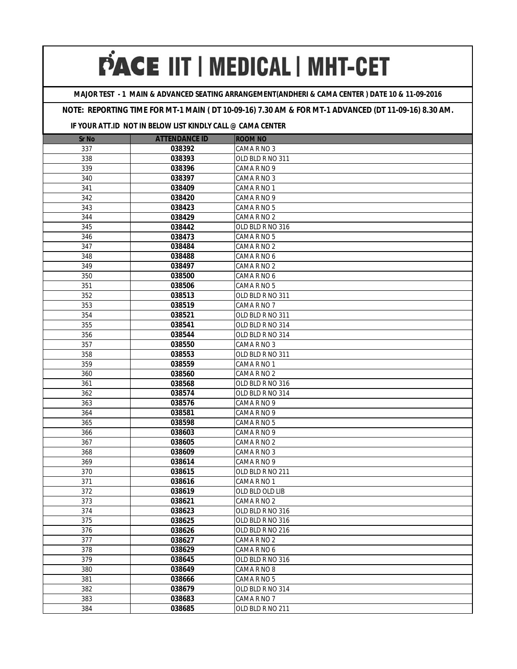**MAJOR TEST - 1 MAIN & ADVANCED SEATING ARRANGEMENT(ANDHERI & CAMA CENTER ) DATE 10 & 11-09-2016**

## **NOTE: REPORTING TIME FOR MT-1 MAIN ( DT 10-09-16) 7.30 AM & FOR MT-1 ADVANCED (DT 11-09-16) 8.30 AM.**

| <b>Sr No</b> | <b>ATTENDANCE ID</b> | <b>ROOM NO</b>   |
|--------------|----------------------|------------------|
| 337          | 038392               | CAMA R NO 3      |
| 338          | 038393               | OLD BLD R NO 311 |
| 339          | 038396               | CAMA R NO 9      |
| 340          | 038397               | CAMA R NO 3      |
| 341          | 038409               | CAMA R NO 1      |
| 342          | 038420               | CAMA R NO 9      |
| 343          | 038423               | CAMA R NO 5      |
| 344          | 038429               | CAMA R NO 2      |
| 345          | 038442               | OLD BLD R NO 316 |
| 346          | 038473               | CAMA R NO 5      |
| 347          | 038484               | CAMA R NO 2      |
| 348          | 038488               | CAMA R NO 6      |
| 349          | 038497               | CAMA R NO 2      |
| 350          | 038500               | CAMA R NO 6      |
| 351          | 038506               | CAMA R NO 5      |
| 352          | 038513               | OLD BLD R NO 311 |
| 353          | 038519               | CAMA R NO 7      |
| 354          | 038521               | OLD BLD R NO 311 |
| 355          | 038541               | OLD BLD R NO 314 |
| 356          | 038544               | OLD BLD R NO 314 |
| 357          | 038550               | CAMA R NO 3      |
| 358          | 038553               | OLD BLD R NO 311 |
| 359          | 038559               | CAMA R NO 1      |
| 360          | 038560               | CAMA R NO 2      |
| 361          | 038568               | OLD BLD R NO 316 |
| 362          | 038574               | OLD BLD R NO 314 |
| 363          | 038576               | CAMA R NO 9      |
| 364          | 038581               | CAMA R NO 9      |
| 365          | 038598               | CAMA R NO 5      |
| 366          | 038603               | CAMA R NO 9      |
| 367          | 038605               | CAMA R NO 2      |
| 368          | 038609               | CAMA R NO 3      |
| 369          | 038614               | CAMA R NO 9      |
| 370          | 038615               | OLD BLD R NO 211 |
| 371          | 038616               | CAMA R NO 1      |
| 372          | 038619               | OLD BLD OLD LIB  |
| 373          | 038621               | CAMA R NO 2      |
| 374          | 038623               | OLD BLD R NO 316 |
| 375          | 038625               | OLD BLD R NO 316 |
| 376          | 038626               | OLD BLD R NO 216 |
| 377          | 038627               | CAMA R NO 2      |
| 378          | 038629               | CAMA R NO 6      |
| 379          | 038645               | OLD BLD R NO 316 |
| 380          | 038649               | CAMA R NO 8      |
| 381          | 038666               | CAMA R NO 5      |
| 382          | 038679               | OLD BLD R NO 314 |
| 383          | 038683               | CAMA R NO 7      |
| 384          | 038685               | OLD BLD R NO 211 |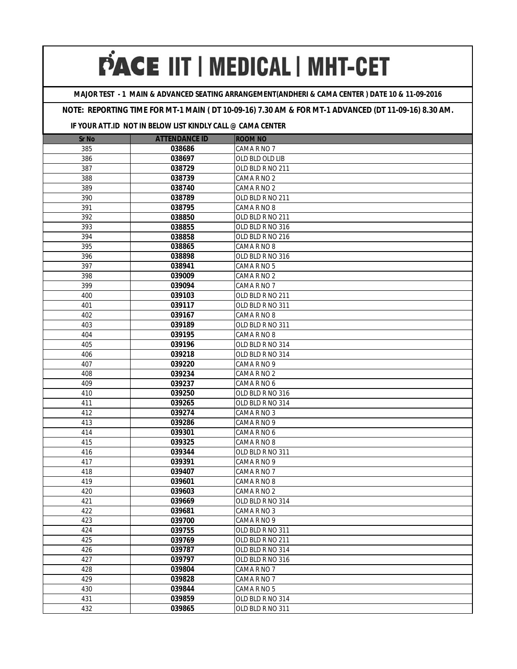**MAJOR TEST - 1 MAIN & ADVANCED SEATING ARRANGEMENT(ANDHERI & CAMA CENTER ) DATE 10 & 11-09-2016**

## **NOTE: REPORTING TIME FOR MT-1 MAIN ( DT 10-09-16) 7.30 AM & FOR MT-1 ADVANCED (DT 11-09-16) 8.30 AM.**

| <b>Sr No</b> | <b>ATTENDANCE ID</b> | <b>ROOM NO</b>                       |
|--------------|----------------------|--------------------------------------|
| 385          | 038686               | CAMA R NO 7                          |
| 386          | 038697               | OLD BLD OLD LIB                      |
| 387          | 038729               | OLD BLD R NO 211                     |
| 388          | 038739               | CAMA R NO 2                          |
| 389          | 038740               | CAMA R NO 2                          |
| 390          | 038789               | OLD BLD R NO 211                     |
| 391          | 038795               | CAMA R NO 8                          |
| 392          | 038850               | OLD BLD R NO 211                     |
| 393          | 038855               | OLD BLD R NO 316                     |
| 394          | 038858               | OLD BLD R NO 216                     |
| 395          | 038865               | CAMA R NO 8                          |
| 396          | 038898               | OLD BLD R NO 316                     |
| 397          | 038941               | CAMA R NO 5                          |
| 398          | 039009               | CAMA R NO 2                          |
| 399          | 039094               | CAMA R NO 7                          |
| 400          | 039103               | OLD BLD R NO 211                     |
| 401          | 039117               | OLD BLD R NO 311                     |
| 402          | 039167               | CAMA R NO 8                          |
| 403          | 039189               | OLD BLD R NO 311                     |
| 404          | 039195               | CAMA R NO 8                          |
| 405          | 039196               | OLD BLD R NO 314                     |
| 406          | 039218               | OLD BLD R NO 314                     |
| 407          | 039220               | CAMA R NO 9                          |
| 408          | 039234               | CAMA R NO 2                          |
| 409          | 039237               | CAMA R NO 6                          |
| 410          | 039250               | OLD BLD R NO 316                     |
| 411          | 039265               | OLD BLD R NO 314                     |
| 412          | 039274               | CAMA R NO 3                          |
| 413          | 039286               | CAMA R NO 9                          |
| 414          | 039301               | CAMA R NO 6                          |
| 415          | 039325               | CAMA R NO 8                          |
| 416          | 039344               | OLD BLD R NO 311                     |
| 417          | 039391               | CAMA R NO 9                          |
| 418          | 039407               | CAMA R NO 7                          |
| 419          | 039601               | CAMA R NO 8                          |
| 420          | 039603               | CAMA R NO 2                          |
| 421          | 039669               | OLD BLD R NO 314                     |
| 422          | 039681               | CAMA R NO 3                          |
| 423          | 039700               | CAMA R NO 9                          |
| 424          | 039755               | OLD BLD R NO 311                     |
| 425          | 039769               | OLD BLD R NO 211                     |
| 426          | 039787               | OLD BLD R NO 314                     |
| 427<br>428   | 039797<br>039804     | OLD BLD R NO 316<br>CAMA R NO 7      |
| 429          | 039828               | CAMA R NO 7                          |
| 430          | 039844               | CAMA R NO 5                          |
| 431          | 039859               |                                      |
| 432          | 039865               | OLD BLD R NO 314<br>OLD BLD R NO 311 |
|              |                      |                                      |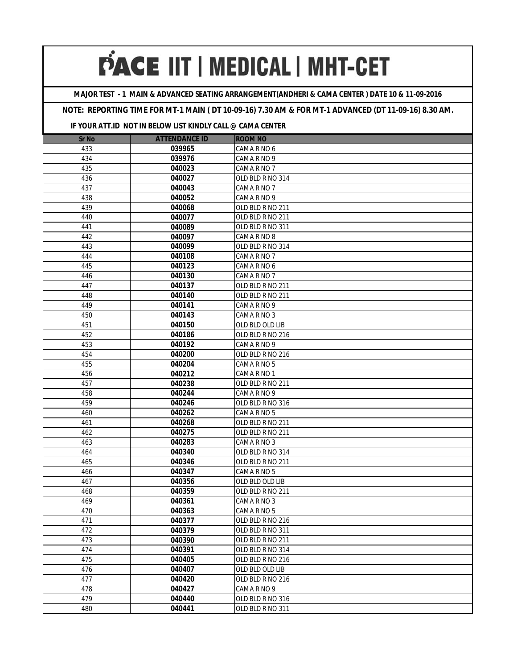**MAJOR TEST - 1 MAIN & ADVANCED SEATING ARRANGEMENT(ANDHERI & CAMA CENTER ) DATE 10 & 11-09-2016**

## **NOTE: REPORTING TIME FOR MT-1 MAIN ( DT 10-09-16) 7.30 AM & FOR MT-1 ADVANCED (DT 11-09-16) 8.30 AM.**

| <b>Sr No</b> | <b>ATTENDANCE ID</b> | <b>ROOM NO</b>                       |
|--------------|----------------------|--------------------------------------|
| 433          | 039965               | CAMA R NO 6                          |
| 434          | 039976               | CAMA R NO 9                          |
| 435          | 040023               | CAMA R NO 7                          |
| 436          | 040027               | OLD BLD R NO 314                     |
| 437          | 040043               | CAMA R NO 7                          |
| 438          | 040052               | CAMA R NO 9                          |
| 439          | 040068               | OLD BLD R NO 211                     |
| 440          | 040077               | OLD BLD R NO 211                     |
| 441          | 040089               | OLD BLD R NO 311                     |
| 442          | 040097               | CAMA R NO 8                          |
| 443          | 040099               | OLD BLD R NO 314                     |
| 444          | 040108               | CAMA R NO 7                          |
| 445          | 040123               | CAMA R NO 6                          |
| 446          | 040130               | CAMA R NO 7                          |
| 447          | 040137               | OLD BLD R NO 211                     |
| 448          | 040140               | OLD BLD R NO 211                     |
| 449          | 040141               | CAMA R NO 9                          |
| 450          | 040143               | CAMA R NO 3                          |
| 451          | 040150               | OLD BLD OLD LIB                      |
| 452          | 040186               | OLD BLD R NO 216                     |
| 453          | 040192               | CAMA R NO 9                          |
| 454          | 040200               | OLD BLD R NO 216                     |
| 455          | 040204               | CAMA R NO 5                          |
| 456          | 040212               | CAMA R NO 1                          |
| 457          | 040238               | OLD BLD R NO 211                     |
| 458          | 040244               | CAMA R NO 9                          |
| 459          | 040246               | OLD BLD R NO 316                     |
| 460          | 040262               | CAMA R NO 5                          |
| 461          | 040268               | OLD BLD R NO 211                     |
| 462          | 040275               | OLD BLD R NO 211                     |
| 463          | 040283               | CAMA R NO 3                          |
| 464          | 040340               | OLD BLD R NO 314                     |
| 465          | 040346               | OLD BLD R NO 211                     |
| 466          | 040347               | CAMA R NO 5                          |
| 467          | 040356               | OLD BLD OLD LIB                      |
| 468          | 040359               | OLD BLD R NO 211                     |
| 469          | 040361               | CAMA R NO 3                          |
| 470          | 040363<br>040377     | CAMA R NO 5                          |
| 471          |                      | OLD BLD R NO 216                     |
| 472<br>473   | 040379               | OLD BLD R NO 311                     |
| 474          | 040390<br>040391     | OLD BLD R NO 211<br>OLD BLD R NO 314 |
| 475          | 040405               |                                      |
| 476          | 040407               | OLD BLD R NO 216<br>OLD BLD OLD LIB  |
| 477          | 040420               | OLD BLD R NO 216                     |
| 478          | 040427               | CAMA R NO 9                          |
| 479          | 040440               | OLD BLD R NO 316                     |
| 480          | 040441               | OLD BLD R NO 311                     |
|              |                      |                                      |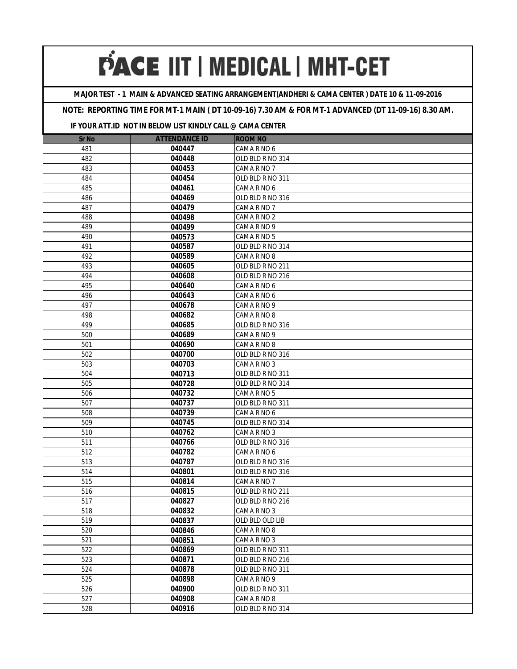**MAJOR TEST - 1 MAIN & ADVANCED SEATING ARRANGEMENT(ANDHERI & CAMA CENTER ) DATE 10 & 11-09-2016**

### **NOTE: REPORTING TIME FOR MT-1 MAIN ( DT 10-09-16) 7.30 AM & FOR MT-1 ADVANCED (DT 11-09-16) 8.30 AM.**

| <b>Sr No</b> | <b>ATTENDANCE ID</b> | <b>ROOM NO</b>                       |
|--------------|----------------------|--------------------------------------|
| 481          | 040447               | CAMA R NO 6                          |
| 482          | 040448               | OLD BLD R NO 314                     |
| 483          | 040453               | CAMA R NO 7                          |
| 484          | 040454               | OLD BLD R NO 311                     |
| 485          | 040461               | CAMA R NO 6                          |
| 486          | 040469               | OLD BLD R NO 316                     |
| 487          | 040479               | CAMA R NO 7                          |
| 488          | 040498               | CAMA R NO 2                          |
| 489          | 040499               | CAMA R NO 9                          |
| 490          | 040573               | CAMA R NO 5                          |
| 491          | 040587               | OLD BLD R NO 314                     |
| 492          | 040589               | CAMA R NO 8                          |
| 493          | 040605               | OLD BLD R NO 211                     |
| 494          | 040608               | OLD BLD R NO 216                     |
| 495          | 040640               | CAMA R NO 6                          |
| 496          | 040643               | CAMA R NO 6                          |
| 497          | 040678               | CAMA R NO 9                          |
| 498          | 040682               | CAMA R NO 8                          |
| 499          | 040685               | OLD BLD R NO 316                     |
| 500          | 040689               | CAMA R NO 9                          |
| 501          | 040690               | CAMA R NO 8                          |
| 502          | 040700               | OLD BLD R NO 316                     |
| 503          | 040703               | CAMA R NO 3                          |
| 504          | 040713               | OLD BLD R NO 311                     |
| 505          | 040728               | OLD BLD R NO 314                     |
| 506          | 040732               | CAMA R NO 5                          |
| 507          | 040737               | OLD BLD R NO 311                     |
| 508          | 040739               | CAMA R NO 6                          |
| 509          | 040745               | OLD BLD R NO 314                     |
| 510          | 040762               | CAMA R NO 3                          |
| 511          | 040766               | OLD BLD R NO 316                     |
| 512          | 040782               | CAMA R NO 6                          |
| 513          | 040787               | OLD BLD R NO 316                     |
| 514          | 040801               | OLD BLD R NO 316                     |
| 515          | 040814               | CAMA R NO 7                          |
| 516          | 040815               | OLD BLD R NO 211                     |
| 517          | 040827               | OLD BLD R NO 216                     |
| 518          | 040832               | CAMA R NO 3                          |
| 519          | 040837               | OLD BLD OLD LIB<br>CAMA R NO 8       |
| 520          | 040846               |                                      |
| 521          | 040851               | CAMA R NO 3                          |
| 522          | 040869<br>040871     | OLD BLD R NO 311<br>OLD BLD R NO 216 |
| 523<br>524   | 040878               | OLD BLD R NO 311                     |
| 525          | 040898               | CAMA R NO 9                          |
| 526          | 040900               |                                      |
| 527          | 040908               | OLD BLD R NO 311                     |
|              | 040916               | CAMA R NO 8<br>OLD BLD R NO 314      |
| 528          |                      |                                      |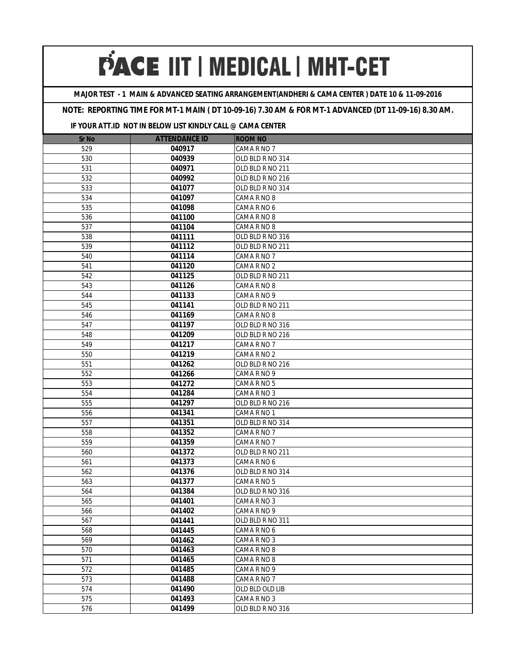**MAJOR TEST - 1 MAIN & ADVANCED SEATING ARRANGEMENT(ANDHERI & CAMA CENTER ) DATE 10 & 11-09-2016**

### **NOTE: REPORTING TIME FOR MT-1 MAIN ( DT 10-09-16) 7.30 AM & FOR MT-1 ADVANCED (DT 11-09-16) 8.30 AM.**

| <b>Sr No</b> | <b>ATTENDANCE ID</b> | <b>ROOM NO</b>                  |
|--------------|----------------------|---------------------------------|
| 529          | 040917               | CAMA R NO 7                     |
| 530          | 040939               | OLD BLD R NO 314                |
| 531          | 040971               | OLD BLD R NO 211                |
| 532          | 040992               | OLD BLD R NO 216                |
| 533          | 041077               | OLD BLD R NO 314                |
| 534          | 041097               | CAMA R NO 8                     |
| 535          | 041098               | CAMA R NO 6                     |
| 536          | 041100               | CAMA R NO 8                     |
| 537          | 041104               | CAMA R NO 8                     |
| 538          | 041111               | OLD BLD R NO 316                |
| 539          | 041112               | OLD BLD R NO 211                |
| 540          | 041114               | CAMA R NO 7                     |
| 541          | 041120               | CAMA R NO 2                     |
| 542          | 041125               | OLD BLD R NO 211                |
| 543          | 041126               | CAMA R NO 8                     |
| 544          | 041133               | CAMA R NO 9                     |
| 545          | 041141               | OLD BLD R NO 211                |
| 546          | 041169               | CAMA R NO 8                     |
| 547          | 041197               | OLD BLD R NO 316                |
| 548          | 041209               | OLD BLD R NO 216                |
| 549          | 041217               | CAMA R NO 7                     |
| 550          | 041219               | CAMA R NO 2                     |
| 551          | 041262               | OLD BLD R NO 216                |
| 552          | 041266               | CAMA R NO 9                     |
| 553          | 041272               | CAMA R NO 5                     |
| 554          | 041284               | CAMA R NO 3                     |
| 555          | 041297               | OLD BLD R NO 216                |
| 556          | 041341               | CAMA R NO 1                     |
| 557          | 041351               | OLD BLD R NO 314                |
| 558          | 041352               | CAMA R NO 7                     |
| 559          | 041359               | CAMA R NO 7                     |
| 560          | 041372               | OLD BLD R NO 211                |
| 561          | 041373               | CAMA R NO 6                     |
| 562          | 041376               | OLD BLD R NO 314                |
| 563          | 041377               | CAMA R NO 5                     |
| 564          | 041384               | OLD BLD R NO 316                |
| 565          | 041401               | CAMA R NO 3                     |
| 566          | 041402               | CAMA R NO 9                     |
| 567          | 041441               | OLD BLD R NO 311                |
| 568          | 041445               | CAMA R NO 6                     |
| 569          | 041462<br>041463     | CAMA R NO 3                     |
| 570          |                      | CAMA R NO 8                     |
| 571<br>572   | 041465<br>041485     | CAMA R NO 8<br>CAMA R NO 9      |
| 573          | 041488               |                                 |
| 574          | 041490               | CAMA R NO 7<br>OLD BLD OLD LIB  |
| 575          | 041493               |                                 |
|              | 041499               | CAMA R NO 3<br>OLD BLD R NO 316 |
| 576          |                      |                                 |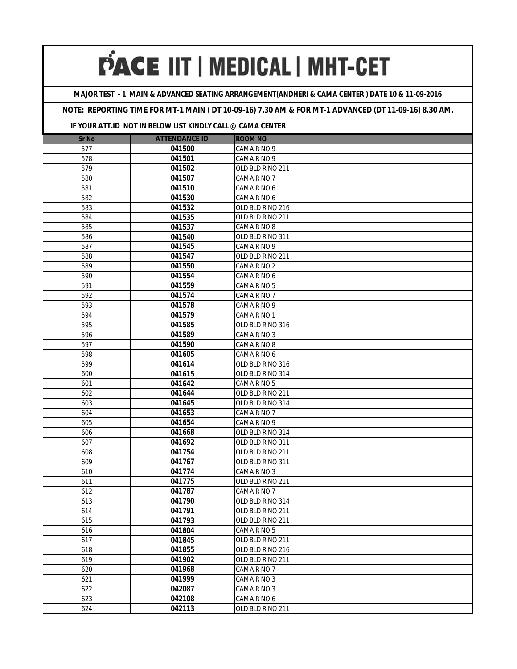**MAJOR TEST - 1 MAIN & ADVANCED SEATING ARRANGEMENT(ANDHERI & CAMA CENTER ) DATE 10 & 11-09-2016**

### **NOTE: REPORTING TIME FOR MT-1 MAIN ( DT 10-09-16) 7.30 AM & FOR MT-1 ADVANCED (DT 11-09-16) 8.30 AM.**

| <b>Sr No</b> | <b>ATTENDANCE ID</b> | <b>ROOM NO</b>   |
|--------------|----------------------|------------------|
| 577          | 041500               | CAMA R NO 9      |
| 578          | 041501               | CAMA R NO 9      |
| 579          | 041502               | OLD BLD R NO 211 |
| 580          | 041507               | CAMA R NO 7      |
| 581          | 041510               | CAMA R NO 6      |
| 582          | 041530               | CAMA R NO 6      |
| 583          | 041532               | OLD BLD R NO 216 |
| 584          | 041535               | OLD BLD R NO 211 |
| 585          | 041537               | CAMA R NO 8      |
| 586          | 041540               | OLD BLD R NO 311 |
| 587          | 041545               | CAMA R NO 9      |
| 588          | 041547               | OLD BLD R NO 211 |
| 589          | 041550               | CAMA R NO 2      |
| 590          | 041554               | CAMA R NO 6      |
| 591          | 041559               | CAMA R NO 5      |
| 592          | 041574               | CAMA R NO 7      |
| 593          | 041578               | CAMA R NO 9      |
| 594          | 041579               | CAMA R NO 1      |
| 595          | 041585               | OLD BLD R NO 316 |
| 596          | 041589               | CAMA R NO 3      |
| 597          | 041590               | CAMA R NO 8      |
| 598          | 041605               | CAMA R NO 6      |
| 599          | 041614               | OLD BLD R NO 316 |
| 600          | 041615               | OLD BLD R NO 314 |
| 601          | 041642               | CAMA R NO 5      |
| 602          | 041644               | OLD BLD R NO 211 |
| 603          | 041645               | OLD BLD R NO 314 |
| 604          | 041653               | CAMA R NO 7      |
| 605          | 041654               | CAMA R NO 9      |
| 606          | 041668               | OLD BLD R NO 314 |
| 607          | 041692               | OLD BLD R NO 311 |
| 608          | 041754               | OLD BLD R NO 211 |
| 609          | 041767               | OLD BLD R NO 311 |
| 610          | 041774               | CAMA R NO 3      |
| 611          | 041775               | OLD BLD R NO 211 |
| 612          | 041787               | CAMA R NO 7      |
| 613          | 041790               | OLD BLD R NO 314 |
| 614          | 041791               | OLD BLD R NO 211 |
| 615          | 041793               | OLD BLD R NO 211 |
| 616          | 041804               | CAMA R NO 5      |
| 617          | 041845               | OLD BLD R NO 211 |
| 618          | 041855               | OLD BLD R NO 216 |
| 619          | 041902               | OLD BLD R NO 211 |
| 620          | 041968               | CAMA R NO 7      |
| 621          | 041999               | CAMA R NO 3      |
| 622          | 042087               | CAMA R NO 3      |
| 623          | 042108               | CAMA R NO 6      |
| 624          | 042113               | OLD BLD R NO 211 |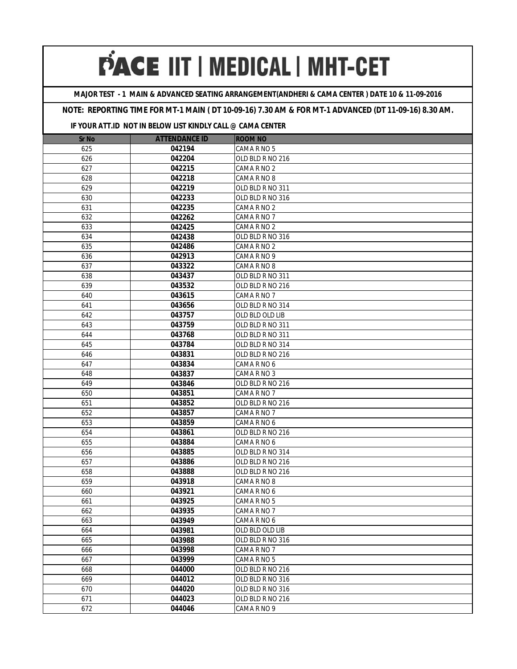**MAJOR TEST - 1 MAIN & ADVANCED SEATING ARRANGEMENT(ANDHERI & CAMA CENTER ) DATE 10 & 11-09-2016**

### **NOTE: REPORTING TIME FOR MT-1 MAIN ( DT 10-09-16) 7.30 AM & FOR MT-1 ADVANCED (DT 11-09-16) 8.30 AM.**

| <b>Sr No</b> | <b>ATTENDANCE ID</b> | <b>ROOM NO</b>                  |
|--------------|----------------------|---------------------------------|
| 625          | 042194               | CAMA R NO 5                     |
| 626          | 042204               | OLD BLD R NO 216                |
| 627          | 042215               | CAMA R NO 2                     |
| 628          | 042218               | CAMA R NO 8                     |
| 629          | 042219               | OLD BLD R NO 311                |
| 630          | 042233               | OLD BLD R NO 316                |
| 631          | 042235               | CAMA R NO 2                     |
| 632          | 042262               | CAMA R NO 7                     |
| 633          | 042425               | CAMA R NO 2                     |
| 634          | 042438               | OLD BLD R NO 316                |
| 635          | 042486               | CAMA R NO 2                     |
| 636          | 042913               | CAMA R NO 9                     |
| 637          | 043322               | CAMA R NO 8                     |
| 638          | 043437               | OLD BLD R NO 311                |
| 639          | 043532               | OLD BLD R NO 216                |
| 640          | 043615               | CAMA R NO 7                     |
| 641          | 043656               | OLD BLD R NO 314                |
| 642          | 043757               | OLD BLD OLD LIB                 |
| 643          | 043759               | OLD BLD R NO 311                |
| 644          | 043768               | OLD BLD R NO 311                |
| 645          | 043784               | OLD BLD R NO 314                |
| 646          | 043831               | OLD BLD R NO 216                |
| 647          | 043834               | CAMA R NO 6                     |
| 648          | 043837               | CAMA R NO 3                     |
| 649          | 043846               | OLD BLD R NO 216                |
| 650          | 043851               | CAMA R NO 7                     |
| 651          | 043852               | OLD BLD R NO 216                |
| 652          | 043857               | CAMA R NO 7                     |
| 653          | 043859               | CAMA R NO 6                     |
| 654<br>655   | 043861               | OLD BLD R NO 216<br>CAMA R NO 6 |
| 656          | 043884<br>043885     | OLD BLD R NO 314                |
| 657          | 043886               | OLD BLD R NO 216                |
| 658          | 043888               | OLD BLD R NO 216                |
| 659          | 043918               | CAMA R NO 8                     |
| 660          | 043921               | CAMA R NO 6                     |
| 661          | 043925               | CAMA R NO 5                     |
| 662          | 043935               | CAMA R NO 7                     |
| 663          | 043949               | CAMA R NO 6                     |
| 664          | 043981               | OLD BLD OLD LIB                 |
| 665          | 043988               | OLD BLD R NO 316                |
| 666          | 043998               | CAMA R NO 7                     |
| 667          | 043999               | CAMA R NO 5                     |
| 668          | 044000               | OLD BLD R NO 216                |
| 669          | 044012               | OLD BLD R NO 316                |
| 670          | 044020               | OLD BLD R NO 316                |
| 671          | 044023               | OLD BLD R NO 216                |
| 672          | 044046               | CAMA R NO 9                     |
|              |                      |                                 |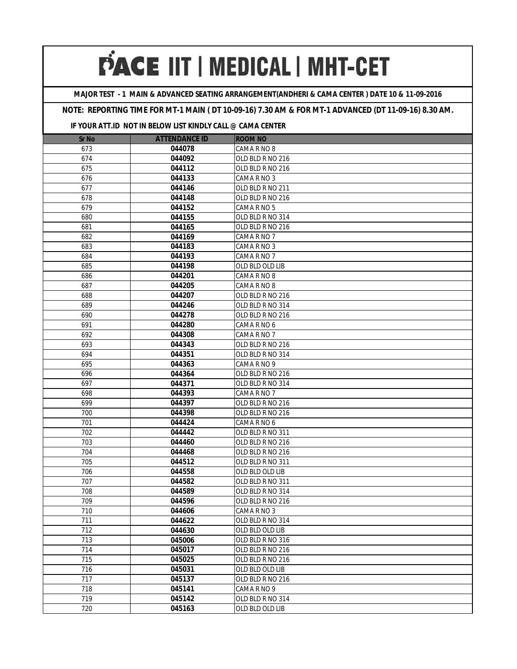**MAJOR TEST - 1 MAIN & ADVANCED SEATING ARRANGEMENT(ANDHERI & CAMA CENTER ) DATE 10 & 11-09-2016**

## **NOTE: REPORTING TIME FOR MT-1 MAIN ( DT 10-09-16) 7.30 AM & FOR MT-1 ADVANCED (DT 11-09-16) 8.30 AM.**

| <b>Sr No</b> | <b>ATTENDANCE ID</b> | <b>ROOM NO</b>                       |
|--------------|----------------------|--------------------------------------|
| 673          | 044078               | CAMA R NO 8                          |
| 674          | 044092               | OLD BLD R NO 216                     |
| 675          | 044112               | OLD BLD R NO 216                     |
| 676          | 044133               | CAMA R NO 3                          |
| 677          | 044146               | OLD BLD R NO 211                     |
| 678          | 044148               | OLD BLD R NO 216                     |
| 679          | 044152               | CAMA R NO 5                          |
| 680          | 044155               | OLD BLD R NO 314                     |
| 681          | 044165               | OLD BLD R NO 216                     |
| 682          | 044169               | CAMA R NO 7                          |
| 683          | 044183               | CAMA R NO 3                          |
| 684          | 044193               | CAMA R NO 7                          |
| 685          | 044198               | OLD BLD OLD LIB                      |
| 686          | 044201               | CAMA R NO 8                          |
| 687          | 044205               | CAMA R NO 8                          |
| 688          | 044207               | OLD BLD R NO 216                     |
| 689          | 044246               | OLD BLD R NO 314                     |
| 690          | 044278               | OLD BLD R NO 216                     |
| 691          | 044280               | CAMA R NO 6                          |
| 692          | 044308               | CAMA R NO 7                          |
| 693          | 044343               | OLD BLD R NO 216                     |
| 694          | 044351               | OLD BLD R NO 314                     |
| 695          | 044363               | CAMA R NO 9                          |
| 696          | 044364               | OLD BLD R NO 216                     |
| 697          | 044371               | OLD BLD R NO 314                     |
| 698          | 044393               | CAMA R NO 7                          |
| 699          | 044397               | OLD BLD R NO 216                     |
| 700          | 044398               | OLD BLD R NO 216                     |
| 701          | 044424               | CAMA R NO 6                          |
| 702          | 044442               | OLD BLD R NO 311                     |
| 703          | 044460               | OLD BLD R NO 216                     |
| 704<br>705   | 044468<br>044512     | OLD BLD R NO 216<br>OLD BLD R NO 311 |
|              |                      | OLD BLD OLD LIB                      |
| 706<br>707   | 044558<br>044582     | OLD BLD R NO 311                     |
| 708          | 044589               | OLD BLD R NO 314                     |
| 709          | 044596               | OLD BLD R NO 216                     |
| 710          | 044606               | CAMA R NO 3                          |
| 711          | 044622               | OLD BLD R NO 314                     |
| 712          | 044630               | OLD BLD OLD LIB                      |
| 713          | 045006               | OLD BLD R NO 316                     |
| 714          | 045017               | OLD BLD R NO 216                     |
| 715          | 045025               | OLD BLD R NO 216                     |
| 716          | 045031               | OLD BLD OLD LIB                      |
| 717          | 045137               | OLD BLD R NO 216                     |
| 718          | 045141               | CAMA R NO 9                          |
| 719          | 045142               | OLD BLD R NO 314                     |
| 720          | 045163               | OLD BLD OLD LIB                      |
|              |                      |                                      |